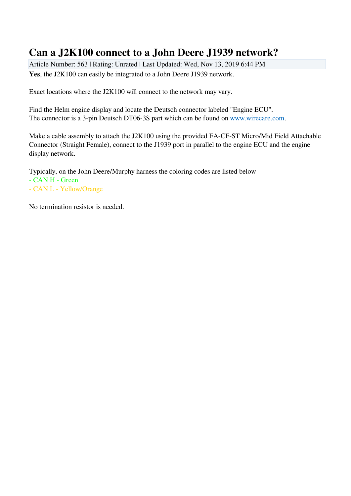## **Can a J2K100 connect to a John Deere J1939 network?**

Article Number: 563 | Rating: Unrated | Last Updated: Wed, Nov 13, 2019 6:44 PM **Yes**, the J2K100 can easily be integrated to a John Deere J1939 network.

Exact locations where the J2K100 will connect to the network may vary.

Find the Helm engine display and locate the Deutsch connector labeled "Engine ECU". The connector is a 3-pin Deutsch DT06-3S part which can be found on [www.wirecare.com.](http://www.wirecare.com)

Make a cable assembly to attach the J2K100 using the provided FA-CF-ST Micro/Mid Field Attachable Connector (Straight Female), connect to the J1939 port in parallel to the engine ECU and the engine display network.

Typically, on the John Deere/Murphy harness the coloring codes are listed below

- CAN H Green
- CAN L Yellow/Orange

No termination resistor is needed.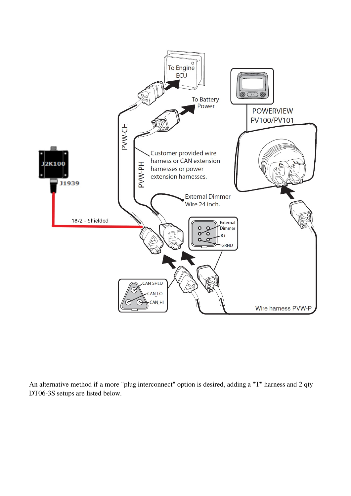

An alternative method if a more "plug interconnect" option is desired, adding a "T" harness and 2 qty DT06-3S setups are listed below.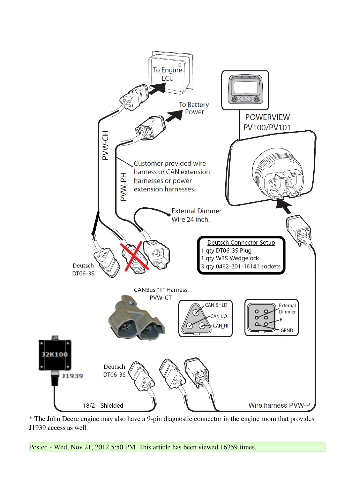

\* The John Deere engine may also have a 9-pin diagnostic connector in the engine room that provides J1939 access as well.

Posted - Wed, Nov 21, 2012 5:50 PM. This article has been viewed 16359 times.